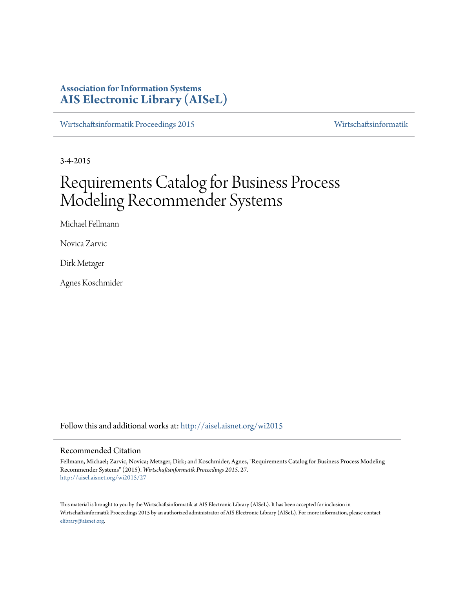## **Association for Information Systems [AIS Electronic Library \(AISeL\)](http://aisel.aisnet.org?utm_source=aisel.aisnet.org%2Fwi2015%2F27&utm_medium=PDF&utm_campaign=PDFCoverPages)**

[Wirtschaftsinformatik Proceedings 2015](http://aisel.aisnet.org/wi2015?utm_source=aisel.aisnet.org%2Fwi2015%2F27&utm_medium=PDF&utm_campaign=PDFCoverPages) [Wirtschaftsinformatik](http://aisel.aisnet.org/wi?utm_source=aisel.aisnet.org%2Fwi2015%2F27&utm_medium=PDF&utm_campaign=PDFCoverPages)

3-4-2015

# Requirements Catalog for Business Process Modeling Recommender Systems

Michael Fellmann

Novica Zarvic

Dirk Metzger

Agnes Koschmider

Follow this and additional works at: [http://aisel.aisnet.org/wi2015](http://aisel.aisnet.org/wi2015?utm_source=aisel.aisnet.org%2Fwi2015%2F27&utm_medium=PDF&utm_campaign=PDFCoverPages)

#### Recommended Citation

Fellmann, Michael; Zarvic, Novica; Metzger, Dirk; and Koschmider, Agnes, "Requirements Catalog for Business Process Modeling Recommender Systems" (2015). *Wirtschaftsinformatik Proceedings 2015*. 27. [http://aisel.aisnet.org/wi2015/27](http://aisel.aisnet.org/wi2015/27?utm_source=aisel.aisnet.org%2Fwi2015%2F27&utm_medium=PDF&utm_campaign=PDFCoverPages)

This material is brought to you by the Wirtschaftsinformatik at AIS Electronic Library (AISeL). It has been accepted for inclusion in Wirtschaftsinformatik Proceedings 2015 by an authorized administrator of AIS Electronic Library (AISeL). For more information, please contact [elibrary@aisnet.org.](mailto:elibrary@aisnet.org%3E)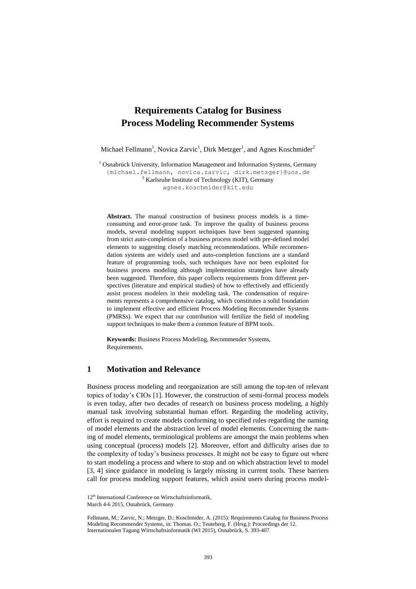## **Requirements Catalog for Business Process Modeling Recommender Systems**

Michael Fellmann<sup>1</sup>, Novica Zarvic<sup>1</sup>, Dirk Metzger<sup>1</sup>, and Agnes Koschmider<sup>2</sup>

<sup>1</sup> Osnabrück University, Information Management and Information Systems, Germany {michael.fellmann, novica.zarvic, dirk.metzger}@uos.de <sup>2</sup> Karlsruhe Institute of Technology (KIT), Germany agnes.koschmider@kit.edu

**Abstract.** The manual construction of business process models is a timeconsuming and error-prone task. To improve the quality of business process models, several modeling support techniques have been suggested spanning from strict auto-completion of a business process model with pre-defined model elements to suggesting closely matching recommendations. While recommendation systems are widely used and auto-completion functions are a standard feature of programming tools, such techniques have not been exploited for business process modeling although implementation strategies have already been suggested. Therefore, this paper collects requirements from different perspectives (literature and empirical studies) of how to effectively and efficiently assist process modelers in their modeling task. The condensation of requirements represents a comprehensive catalog, which constitutes a solid foundation to implement effective and efficient Process Modeling Recommender Systems (PMRSs). We expect that our contribution will fertilize the field of modeling support techniques to make them a common feature of BPM tools.

**Keywords:** Business Process Modeling, Recommender Systems, Requirements.

#### **1 Motivation and Relevance**

Business process modeling and reorganization are still among the top-ten of relevant topics of today's CIOs [1]. However, the construction of semi-formal process models is even today, after two decades of research on business process modeling, a highly manual task involving substantial human effort. Regarding the modeling activity, effort is required to create models conforming to specified rules regarding the naming of model elements and the abstraction level of model elements. Concerning the naming of model elements, terminological problems are amongst the main problems when using conceptual (process) models [2]. Moreover, effort and difficulty arises due to the complexity of today's business processes. It might not be easy to figure out where to start modeling a process and where to stop and on which abstraction level to model [3, 4] since guidance in modeling is largely missing in current tools. These barriers call for process modeling support features, which assist users during process model-

<sup>12&</sup>lt;sup>th</sup> International Conference on Wirtschaftsinformatik, March 4-6 2015, Osnabrück, Germany

Fellmann, M.; Zarvic, N.; Metzger, D.; Koschmider, A. (2015): Requirements Catalog for Business Process Modeling Recommender Systems, in: Thomas. O.; Teuteberg, F. (Hrsg.): Proceedings der 12. Internationalen Tagung Wirtschaftsinformatik (WI 2015), Osnabrück, S. 393-407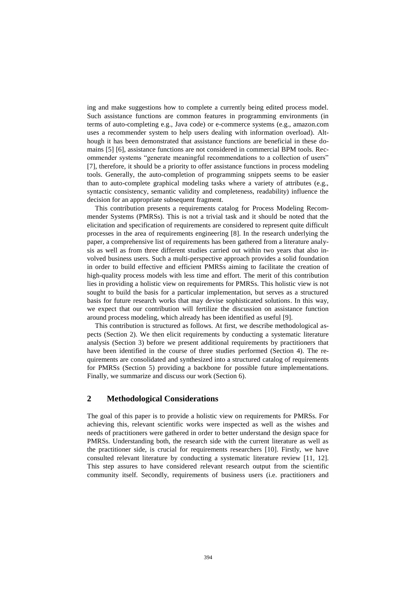ing and make suggestions how to complete a currently being edited process model. Such assistance functions are common features in programming environments (in terms of auto-completing e.g., Java code) or e-commerce systems (e.g., amazon.com uses a recommender system to help users dealing with information overload). Although it has been demonstrated that assistance functions are beneficial in these domains [5] [6], assistance functions are not considered in commercial BPM tools. Recommender systems "generate meaningful recommendations to a collection of users" [7], therefore, it should be a priority to offer assistance functions in process modeling tools. Generally, the auto-completion of programming snippets seems to be easier than to auto-complete graphical modeling tasks where a variety of attributes (e.g., syntactic consistency, semantic validity and completeness, readability) influence the decision for an appropriate subsequent fragment.

This contribution presents a requirements catalog for Process Modeling Recommender Systems (PMRSs). This is not a trivial task and it should be noted that the elicitation and specification of requirements are considered to represent quite difficult processes in the area of requirements engineering [8]. In the research underlying the paper, a comprehensive list of requirements has been gathered from a literature analysis as well as from three different studies carried out within two years that also involved business users. Such a multi-perspective approach provides a solid foundation in order to build effective and efficient PMRSs aiming to facilitate the creation of high-quality process models with less time and effort. The merit of this contribution lies in providing a holistic view on requirements for PMRSs. This holistic view is not sought to build the basis for a particular implementation, but serves as a structured basis for future research works that may devise sophisticated solutions. In this way, we expect that our contribution will fertilize the discussion on assistance function around process modeling, which already has been identified as useful [9].

This contribution is structured as follows. At first, we describe methodological aspects (Section 2). We then elicit requirements by conducting a systematic literature analysis (Section 3) before we present additional requirements by practitioners that have been identified in the course of three studies performed (Section 4). The requirements are consolidated and synthesized into a structured catalog of requirements for PMRSs (Section 5) providing a backbone for possible future implementations. Finally, we summarize and discuss our work (Section 6).

### **2 Methodological Considerations**

The goal of this paper is to provide a holistic view on requirements for PMRSs. For achieving this, relevant scientific works were inspected as well as the wishes and needs of practitioners were gathered in order to better understand the design space for PMRSs. Understanding both, the research side with the current literature as well as the practitioner side, is crucial for requirements researchers [10]. Firstly, we have consulted relevant literature by conducting a systematic literature review [11, 12]. This step assures to have considered relevant research output from the scientific community itself. Secondly, requirements of business users (i.e. practitioners and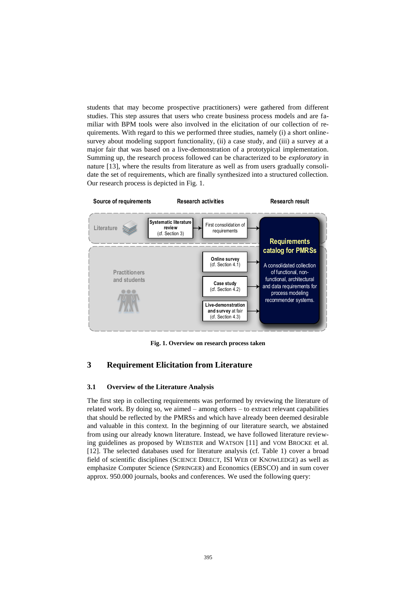students that may become prospective practitioners) were gathered from different studies. This step assures that users who create business process models and are familiar with BPM tools were also involved in the elicitation of our collection of requirements. With regard to this we performed three studies, namely (i) a short onlinesurvey about modeling support functionality, (ii) a case study, and (iii) a survey at a major fair that was based on a live-demonstration of a prototypical implementation. Summing up, the research process followed can be characterized to be *exploratory* in nature [13], where the results from literature as well as from users gradually consolidate the set of requirements, which are finally synthesized into a structured collection. Our research process is depicted in [Fig.](#page-3-0) 1.



**Fig. 1. Overview on research process taken**

## <span id="page-3-0"></span>**3 Requirement Elicitation from Literature**

#### **3.1 Overview of the Literature Analysis**

The first step in collecting requirements was performed by reviewing the literature of related work. By doing so, we aimed – among others – to extract relevant capabilities that should be reflected by the PMRSs and which have already been deemed desirable and valuable in this context. In the beginning of our literature search, we abstained from using our already known literature. Instead, we have followed literature reviewing guidelines as proposed by WEBSTER and WATSON [11] and VOM BROCKE et al. [12]. The selected databases used for literature analysis (cf. Table 1) cover a broad field of scientific disciplines (SCIENCE DIRECT, ISI WEB OF KNOWLEDGE) as well as emphasize Computer Science (SPRINGER) and Economics (EBSCO) and in sum cover approx. 950.000 journals, books and conferences. We used the following query: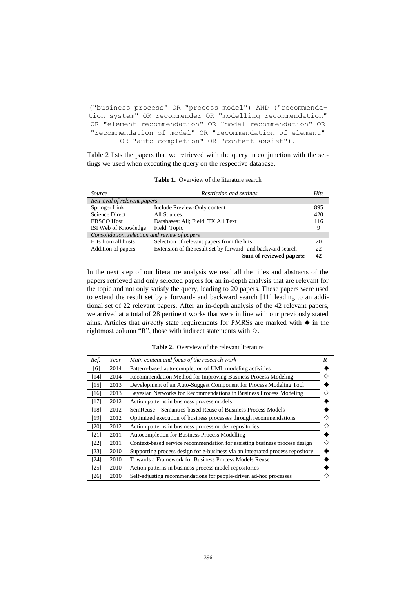("business process" OR "process model") AND ("recommendation system" OR recommender OR "modelling recommendation" OR "element recommendation" OR "model recommendation" OR "recommendation of model" OR "recommendation of element" OR "auto-completion" OR "content assist").

Table 2 lists the papers that we retrieved with the query in conjunction with the settings we used when executing the query on the respective database.

| Source                                        | Restriction and settings                                    | Hits |
|-----------------------------------------------|-------------------------------------------------------------|------|
| Retrieval of relevant papers                  |                                                             |      |
| Springer Link                                 | Include Preview-Only content                                | 895  |
| <b>Science Direct</b>                         | All Sources                                                 | 420  |
| <b>EBSCO</b> Host                             | Databases: All; Field: TX All Text                          | 116  |
| ISI Web of Knowledge                          | Field: Topic                                                | 9    |
| Consolidation, selection and review of papers |                                                             |      |
| Hits from all hosts                           | Selection of relevant papers from the hits                  | 20   |
| Addition of papers                            | Extension of the result set by forward- and backward search | 22   |
|                                               | Sum of reviewed papers:                                     | 42   |

**Table 1.** Overview of the literature search

In the next step of our literature analysis we read all the titles and abstracts of the papers retrieved and only selected papers for an in-depth analysis that are relevant for the topic and not only satisfy the query, leading to 20 papers. These papers were used to extend the result set by a forward- and backward search [11] leading to an additional set of 22 relevant papers. After an in-depth analysis of the 42 relevant papers, we arrived at a total of 28 pertinent works that were in line with our previously stated aims. Articles that *directly* state requirements for PMRSs are marked with  $\blacklozenge$  in the rightmost column "R", those with indirect statements with  $\diamond$ .

| Ref.   | Year | Main content and focus of the research work                                   | R |
|--------|------|-------------------------------------------------------------------------------|---|
| [6]    | 2014 | Pattern-based auto-completion of UML modeling activities                      |   |
| [14]   | 2014 | Recommendation Method for Improving Business Process Modeling                 |   |
| [15]   | 2013 | Development of an Auto-Suggest Component for Process Modeling Tool            |   |
| [16]   | 2013 | Bayesian Networks for Recommendations in Business Process Modeling            |   |
| $[17]$ | 2012 | Action patterns in business process models                                    |   |
| [18]   | 2012 | SemReuse – Semantics-based Reuse of Business Process Models                   |   |
| [19]   | 2012 | Optimized execution of business processes through recommendations             |   |
| [20]   | 2012 | Action patterns in business process model repositories                        |   |
| [21]   | 2011 | Autocompletion for Business Process Modelling                                 |   |
| [22]   | 2011 | Context-based service recommendation for assisting business process design    |   |
| [23]   | 2010 | Supporting process design for e-business via an integrated process repository |   |
| [24]   | 2010 | Towards a Framework for Business Process Models Reuse                         |   |
| [25]   | 2010 | Action patterns in business process model repositories                        |   |
| [26]   | 2010 | Self-adjusting recommendations for people-driven ad-hoc processes             |   |

**Table 2.** Overview of the relevant literature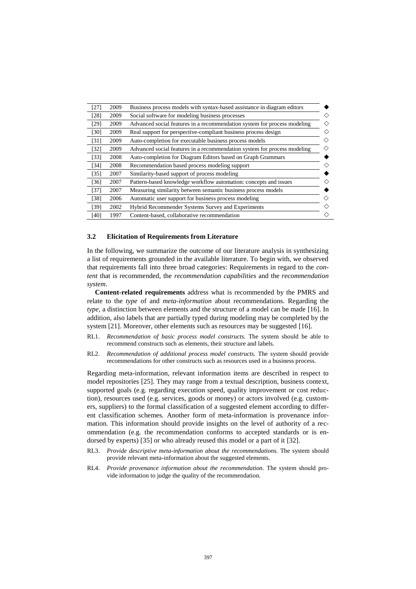| [27] | 2009 | Business process models with syntax-based assistance in diagram editors  |
|------|------|--------------------------------------------------------------------------|
| [28] | 2009 | Social software for modeling business processes                          |
| [29] | 2009 | Advanced social features in a recommendation system for process modeling |
| [30] | 2009 | Real support for perspective-compliant business process design           |
| [31] | 2009 | Auto-completion for executable business process models                   |
| [32] | 2009 | Advanced social features in a recommendation system for process modeling |
| [33] | 2008 | Auto-completion for Diagram Editors based on Graph Grammars              |
| [34] | 2008 | Recommendation based process modeling support                            |
| [35] | 2007 | Similarity-based support of process modeling                             |
| [36] | 2007 | Pattern-based knowledge workflow automation: concepts and issues         |
| [37] | 2007 | Measuring similarity between semantic business process models            |
| [38] | 2006 | Automatic user support for business process modeling                     |
| [39] | 2002 | <b>Hybrid Recommender Systems Survey and Experiments</b>                 |
| [40] | 1997 | Content-based, collaborative recommendation                              |
|      |      |                                                                          |

#### **3.2 Elicitation of Requirements from Literature**

In the following, we summarize the outcome of our literature analysis in synthesizing a list of requirements grounded in the available literature. To begin with, we observed that requirements fall into three broad categories: Requirements in regard to the *content* that is recommended, the *recommendation capabilities* and the *recommendation system*.

**Content-related requirements** address what is recommended by the PMRS and relate to the *type* of and *meta-information* about recommendations. Regarding the *type*, a distinction between elements and the structure of a model can be made [16]. In addition, also labels that are partially typed during modeling may be completed by the system [21]. Moreover, other elements such as resources may be suggested [16].

- RL1. *Recommendation of basic process model constructs.* The system should be able to recommend constructs such as elements, their structure and labels.
- RL2. *Recommendation of additional process model constructs*. The system should provide recommendations for other constructs such as resources used in a business process.

Regarding meta-information, relevant information items are described in respect to model repositories [25]. They may range from a textual description, business context, supported goals (e.g. regarding execution speed, quality improvement or cost reduction), resources used (e.g. services, goods or money) or actors involved (e.g. customers, suppliers) to the formal classification of a suggested element according to different classification schemes. Another form of meta-information is provenance information. This information should provide insights on the level of authority of a recommendation (e.g. the recommendation conforms to accepted standards or is endorsed by experts) [35] or who already reused this model or a part of it [32].

- RL3. *Provide descriptive meta-information about the recommendations.* The system should provide relevant meta-information about the suggested elements.
- RL4. *Provide provenance information about the recommendation.* The system should provide information to judge the quality of the recommendation.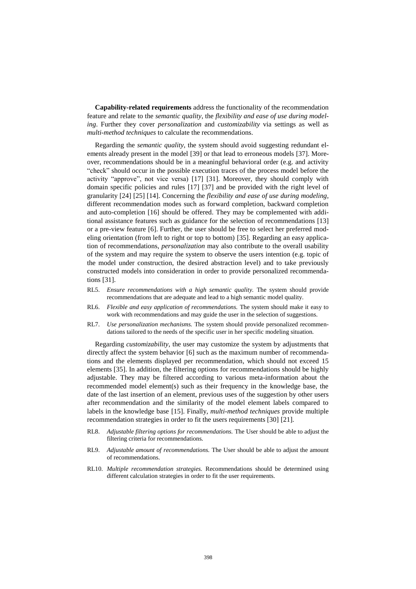**Capability-related requirements** address the functionality of the recommendation feature and relate to the *semantic quality*, the *flexibility and ease of use during modeling*. Further they cover *personalization* and *customizability* via settings as well as *multi-method techniques* to calculate the recommendations.

Regarding the *semantic quality*, the system should avoid suggesting redundant elements already present in the model [39] or that lead to erroneous models [37]. Moreover, recommendations should be in a meaningful behavioral order (e.g. and activity "check" should occur in the possible execution traces of the process model before the activity "approve", not vice versa) [17] [31]. Moreover, they should comply with domain specific policies and rules [17] [37] and be provided with the right level of granularity [24] [25] [14]. Concerning the *flexibility and ease of use during modeling*, different recommendation modes such as forward completion, backward completion and auto-completion [16] should be offered. They may be complemented with additional assistance features such as guidance for the selection of recommendations [13] or a pre-view feature [6]. Further, the user should be free to select her preferred modeling orientation (from left to right or top to bottom) [35]. Regarding an easy application of recommendations, *personalization* may also contribute to the overall usability of the system and may require the system to observe the users intention (e.g. topic of the model under construction, the desired abstraction level) and to take previously constructed models into consideration in order to provide personalized recommendations [31].

- RL5. *Ensure recommendations with a high semantic quality.* The system should provide recommendations that are adequate and lead to a high semantic model quality.
- RL6. *Flexible and easy application of recommendations.* The system should make it easy to work with recommendations and may guide the user in the selection of suggestions.
- RL7. *Use personalization mechanisms.* The system should provide personalized recommendations tailored to the needs of the specific user in her specific modeling situation.

Regarding *customizability*, the user may customize the system by adjustments that directly affect the system behavior [6] such as the maximum number of recommendations and the elements displayed per recommendation, which should not exceed 15 elements [35]. In addition, the filtering options for recommendations should be highly adjustable. They may be filtered according to various meta-information about the recommended model element(s) such as their frequency in the knowledge base, the date of the last insertion of an element, previous uses of the suggestion by other users after recommendation and the similarity of the model element labels compared to labels in the knowledge base [15]. Finally, *multi-method techniques* provide multiple recommendation strategies in order to fit the users requirements [30] [21].

- RL8. *Adjustable filtering options for recommendations.* The User should be able to adjust the filtering criteria for recommendations.
- RL9. *Adjustable amount of recommendations.* The User should be able to adjust the amount of recommendations.
- RL10. *Multiple recommendation strategies.* Recommendations should be determined using different calculation strategies in order to fit the user requirements.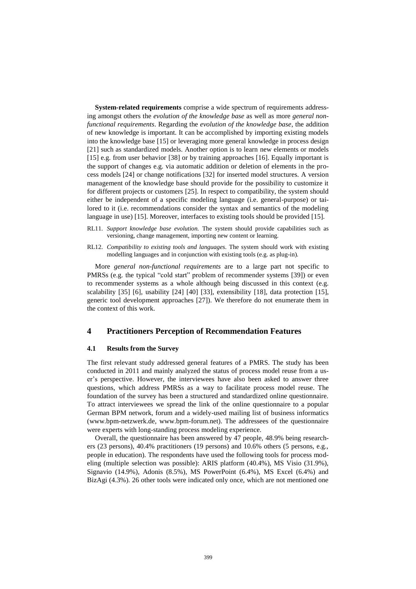**System-related requirements** comprise a wide spectrum of requirements addressing amongst others the *evolution of the knowledge base* as well as more *general nonfunctional requirements*. Regarding the *evolution of the knowledge base*, the addition of new knowledge is important. It can be accomplished by importing existing models into the knowledge base [15] or leveraging more general knowledge in process design [21] such as standardized models. Another option is to learn new elements or models [15] e.g. from user behavior [38] or by training approaches [16]. Equally important is the support of changes e.g. via automatic addition or deletion of elements in the process models [24] or change notifications [32] for inserted model structures. A version management of the knowledge base should provide for the possibility to customize it for different projects or customers [25]. In respect to compatibility, the system should either be independent of a specific modeling language (i.e. general-purpose) or tailored to it (i.e. recommendations consider the syntax and semantics of the modeling language in use) [15]. Moreover, interfaces to existing tools should be provided [15].

- RL11. *Support knowledge base evolution.* The system should provide capabilities such as versioning, change management, importing new content or learning.
- RL12. *Compatibility to existing tools and languages.* The system should work with existing modelling languages and in conjunction with existing tools (e.g. as plug-in).

More *general non-functional requirements* are to a large part not specific to PMRSs (e.g. the typical "cold start" problem of recommender systems [39]) or even to recommender systems as a whole although being discussed in this context (e.g. scalability [35] [6], usability [24] [40] [33], extensibility [18], data protection [15], generic tool development approaches [27]). We therefore do not enumerate them in the context of this work.

#### **4 Practitioners Perception of Recommendation Features**

#### **4.1 Results from the Survey**

The first relevant study addressed general features of a PMRS. The study has been conducted in 2011 and mainly analyzed the status of process model reuse from a user's perspective. However, the interviewees have also been asked to answer three questions, which address PMRSs as a way to facilitate process model reuse. The foundation of the survey has been a structured and standardized online questionnaire. To attract interviewees we spread the link of the online questionnaire to a popular German BPM network, forum and a widely-used mailing list of business informatics (www.bpm-netzwerk.de, www.bpm-forum.net). The addressees of the questionnaire were experts with long-standing process modeling experience.

Overall, the questionnaire has been answered by 47 people, 48.9% being researchers (23 persons), 40.4% practitioners (19 persons) and 10.6% others (5 persons, e.g., people in education). The respondents have used the following tools for process modeling (multiple selection was possible): ARIS platform (40.4%), MS Visio (31.9%), Signavio (14.9%), Adonis (8.5%), MS PowerPoint (6.4%), MS Excel (6.4%) and BizAgi (4.3%). 26 other tools were indicated only once, which are not mentioned one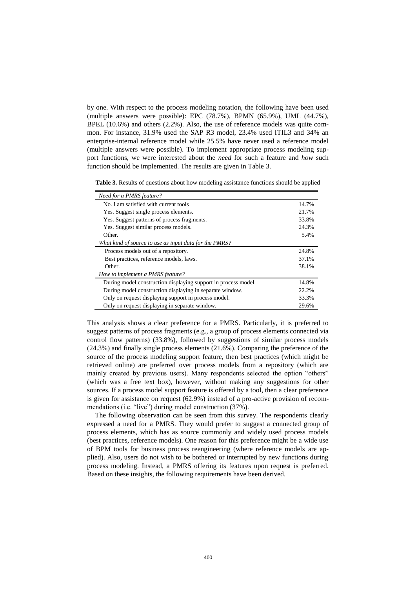by one. With respect to the process modeling notation, the following have been used (multiple answers were possible): EPC (78.7%), BPMN (65.9%), UML (44.7%), BPEL (10.6%) and others (2.2%). Also, the use of reference models was quite common. For instance, 31.9% used the SAP R3 model, 23.4% used ITIL3 and 34% an enterprise-internal reference model while 25.5% have never used a reference model (multiple answers were possible). To implement appropriate process modeling support functions, we were interested about the *need* for such a feature and *how* such function should be implemented. The results are given in Table 3.

Table 3. Results of questions about how modeling assistance functions should be applied

| Need for a PMRS feature?                                       |       |
|----------------------------------------------------------------|-------|
| No. I am satisfied with current tools                          | 14.7% |
| Yes. Suggest single process elements.                          | 21.7% |
| Yes. Suggest patterns of process fragments.                    | 33.8% |
| Yes. Suggest similar process models.                           | 24.3% |
| Other.                                                         | 5.4%  |
| What kind of source to use as input data for the PMRS?         |       |
| Process models out of a repository.                            | 24.8% |
| Best practices, reference models, laws.                        | 37.1% |
| Other.                                                         | 38.1% |
| How to implement a PMRS feature?                               |       |
| During model construction displaying support in process model. | 14.8% |
| During model construction displaying in separate window.       | 22.2% |
| Only on request displaying support in process model.           | 33.3% |
| Only on request displaying in separate window.                 | 29.6% |

This analysis shows a clear preference for a PMRS. Particularly, it is preferred to suggest patterns of process fragments (e.g., a group of process elements connected via control flow patterns) (33.8%), followed by suggestions of similar process models (24.3%) and finally single process elements (21.6%). Comparing the preference of the source of the process modeling support feature, then best practices (which might be retrieved online) are preferred over process models from a repository (which are mainly created by previous users). Many respondents selected the option "others" (which was a free text box), however, without making any suggestions for other sources. If a process model support feature is offered by a tool, then a clear preference is given for assistance on request (62.9%) instead of a pro-active provision of recommendations (i.e. "live") during model construction (37%).

The following observation can be seen from this survey. The respondents clearly expressed a need for a PMRS. They would prefer to suggest a connected group of process elements, which has as source commonly and widely used process models (best practices, reference models). One reason for this preference might be a wide use of BPM tools for business process reengineering (where reference models are applied). Also, users do not wish to be bothered or interrupted by new functions during process modeling. Instead, a PMRS offering its features upon request is preferred. Based on these insights, the following requirements have been derived.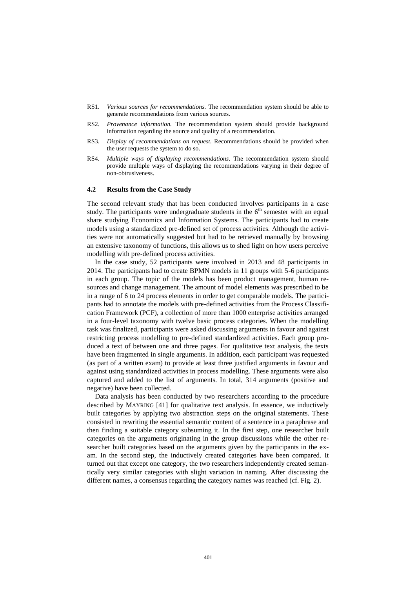- RS1. *Various sources for recommendations.* The recommendation system should be able to generate recommendations from various sources.
- RS2. *Provenance information.* The recommendation system should provide background information regarding the source and quality of a recommendation.
- RS3. *Display of recommendations on request.* Recommendations should be provided when the user requests the system to do so.
- RS4. *Multiple ways of displaying recommendations.* The recommendation system should provide multiple ways of displaying the recommendations varying in their degree of non-obtrusiveness.

#### **4.2 Results from the Case Study**

The second relevant study that has been conducted involves participants in a case study. The participants were undergraduate students in the  $6<sup>th</sup>$  semester with an equal share studying Economics and Information Systems. The participants had to create models using a standardized pre-defined set of process activities. Although the activities were not automatically suggested but had to be retrieved manually by browsing an extensive taxonomy of functions, this allows us to shed light on how users perceive modelling with pre-defined process activities.

In the case study, 52 participants were involved in 2013 and 48 participants in 2014. The participants had to create BPMN models in 11 groups with 5-6 participants in each group. The topic of the models has been product management, human resources and change management. The amount of model elements was prescribed to be in a range of 6 to 24 process elements in order to get comparable models. The participants had to annotate the models with pre-defined activities from the Process Classification Framework (PCF), a collection of more than 1000 enterprise activities arranged in a four-level taxonomy with twelve basic process categories. When the modelling task was finalized, participants were asked discussing arguments in favour and against restricting process modelling to pre-defined standardized activities. Each group produced a text of between one and three pages. For qualitative text analysis, the texts have been fragmented in single arguments. In addition, each participant was requested (as part of a written exam) to provide at least three justified arguments in favour and against using standardized activities in process modelling. These arguments were also captured and added to the list of arguments. In total, 314 arguments (positive and negative) have been collected.

Data analysis has been conducted by two researchers according to the procedure described by MAYRING [41] for qualitative text analysis. In essence, we inductively built categories by applying two abstraction steps on the original statements. These consisted in rewriting the essential semantic content of a sentence in a paraphrase and then finding a suitable category subsuming it. In the first step, one researcher built categories on the arguments originating in the group discussions while the other researcher built categories based on the arguments given by the participants in the exam. In the second step, the inductively created categories have been compared. It turned out that except one category, the two researchers independently created semantically very similar categories with slight variation in naming. After discussing the different names, a consensus regarding the category names was reached (cf. Fig. 2).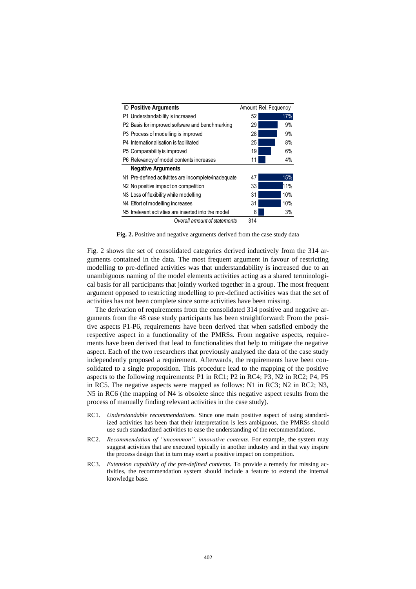| <b>ID Positive Arguments</b>                         | Amount Rel. Fequency |     |
|------------------------------------------------------|----------------------|-----|
| P1 Understandability is increased                    | 52                   | 17% |
| P2 Basis for improved software and benchmarking      | 29                   | 9%  |
| P3 Process of modelling is improved                  | 28                   | 9%  |
| P4 Internationalisation is facilitated               | 25                   | 8%  |
| P5 Comparability is improved                         | 19                   | 6%  |
| P6 Relevancy of model contents increases             | 11                   | 4%  |
| <b>Negative Arguments</b>                            |                      |     |
| N1 Pre-defined activitites are incomplete/inadequate | 47                   | 15% |
| N2 No positive impact on competition                 | 33                   | 11% |
| N <sub>3</sub> Loss of flexibility while modelling   | 31                   | 10% |
| N4 Effort of modelling increases                     | 31                   | 10% |
| N5 Irrelevant activities are inserted into the model | 8                    | 3%  |
| Overall amount of statements                         | 314                  |     |

Fig. 2. Positive and negative arguments derived from the case study data

Fig. 2 shows the set of consolidated categories derived inductively from the 314 arguments contained in the data. The most frequent argument in favour of restricting modelling to pre-defined activities was that understandability is increased due to an unambiguous naming of the model elements activities acting as a shared terminological basis for all participants that jointly worked together in a group. The most frequent argument opposed to restricting modelling to pre-defined activities was that the set of activities has not been complete since some activities have been missing.

The derivation of requirements from the consolidated 314 positive and negative arguments from the 48 case study participants has been straightforward: From the positive aspects P1-P6, requirements have been derived that when satisfied embody the respective aspect in a functionality of the PMRSs. From negative aspects, requirements have been derived that lead to functionalities that help to mitigate the negative aspect. Each of the two researchers that previously analysed the data of the case study independently proposed a requirement. Afterwards, the requirements have been consolidated to a single proposition. This procedure lead to the mapping of the positive aspects to the following requirements: P1 in RC1; P2 in RC4; P3, N2 in RC2; P4, P5 in RC5. The negative aspects were mapped as follows: N1 in RC3; N2 in RC2; N3, N5 in RC6 (the mapping of N4 is obsolete since this negative aspect results from the process of manually finding relevant activities in the case study).

- RC1. *Understandable recommendations.* Since one main positive aspect of using standardized activities has been that their interpretation is less ambiguous, the PMRSs should use such standardized activities to ease the understanding of the recommendations.
- RC2. *Recommendation of "uncommon", innovative contents*. For example, the system may suggest activities that are executed typically in another industry and in that way inspire the process design that in turn may exert a positive impact on competition.
- RC3. *Extension capability of the pre-defined contents.* To provide a remedy for missing activities, the recommendation system should include a feature to extend the internal knowledge base.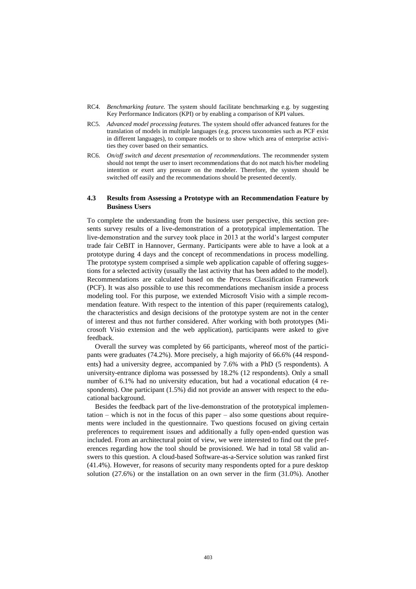- RC4. *Benchmarking feature.* The system should facilitate benchmarking e.g. by suggesting Key Performance Indicators (KPI) or by enabling a comparison of KPI values.
- RC5. *Advanced model processing features.* The system should offer advanced features for the translation of models in multiple languages (e.g. process taxonomies such as PCF exist in different languages), to compare models or to show which area of enterprise activities they cover based on their semantics.
- RC6. *On/off switch and decent presentation of recommendations*. The recommender system should not tempt the user to insert recommendations that do not match his/her modeling intention or exert any pressure on the modeler. Therefore, the system should be switched off easily and the recommendations should be presented decently.

#### **4.3 Results from Assessing a Prototype with an Recommendation Feature by Business Users**

To complete the understanding from the business user perspective, this section presents survey results of a live-demonstration of a prototypical implementation. The live-demonstration and the survey took place in 2013 at the world's largest computer trade fair CeBIT in Hannover, Germany. Participants were able to have a look at a prototype during 4 days and the concept of recommendations in process modelling. The prototype system comprised a simple web application capable of offering suggestions for a selected activity (usually the last activity that has been added to the model). Recommendations are calculated based on the Process Classification Framework (PCF). It was also possible to use this recommendations mechanism inside a process modeling tool. For this purpose, we extended Microsoft Visio with a simple recommendation feature. With respect to the intention of this paper (requirements catalog), the characteristics and design decisions of the prototype system are not in the center of interest and thus not further considered. After working with both prototypes (Microsoft Visio extension and the web application), participants were asked to give feedback.

Overall the survey was completed by 66 participants, whereof most of the participants were graduates (74.2%). More precisely, a high majority of 66.6% (44 respondents) had a university degree, accompanied by 7.6% with a PhD (5 respondents). A university-entrance diploma was possessed by 18.2% (12 respondents). Only a small number of 6.1% had no university education, but had a vocational education (4 respondents). One participant (1.5%) did not provide an answer with respect to the educational background.

Besides the feedback part of the live-demonstration of the prototypical implementation – which is not in the focus of this paper – also some questions about requirements were included in the questionnaire. Two questions focused on giving certain preferences to requirement issues and additionally a fully open-ended question was included. From an architectural point of view, we were interested to find out the preferences regarding how the tool should be provisioned. We had in total 58 valid answers to this question. A cloud-based Software-as-a-Service solution was ranked first (41.4%). However, for reasons of security many respondents opted for a pure desktop solution (27.6%) or the installation on an own server in the firm (31.0%). Another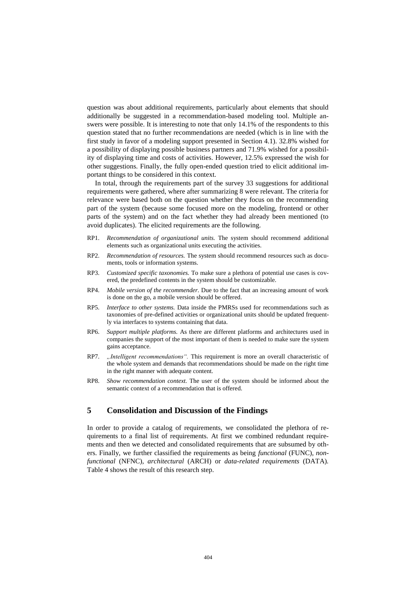question was about additional requirements, particularly about elements that should additionally be suggested in a recommendation-based modeling tool. Multiple answers were possible. It is interesting to note that only 14.1% of the respondents to this question stated that no further recommendations are needed (which is in line with the first study in favor of a modeling support presented in Section 4.1). 32.8% wished for a possibility of displaying possible business partners and 71.9% wished for a possibility of displaying time and costs of activities. However, 12.5% expressed the wish for other suggestions. Finally, the fully open-ended question tried to elicit additional important things to be considered in this context.

In total, through the requirements part of the survey 33 suggestions for additional requirements were gathered, where after summarizing 8 were relevant. The criteria for relevance were based both on the question whether they focus on the recommending part of the system (because some focused more on the modeling, frontend or other parts of the system) and on the fact whether they had already been mentioned (to avoid duplicates). The elicited requirements are the following.

- RP1. *Recommendation of organizational units.* The system should recommend additional elements such as organizational units executing the activities.
- RP2. *Recommendation of resources.* The system should recommend resources such as documents, tools or information systems.
- RP3. *Customized specific taxonomies.* To make sure a plethora of potential use cases is covered, the predefined contents in the system should be customizable.
- RP4. *Mobile version of the recommender.* Due to the fact that an increasing amount of work is done on the go, a mobile version should be offered.
- RP5. *Interface to other systems.* Data inside the PMRSs used for recommendations such as taxonomies of pre-defined activities or organizational units should be updated frequently via interfaces to systems containing that data.
- RP6. *Support multiple platforms.* As there are different platforms and architectures used in companies the support of the most important of them is needed to make sure the system gains acceptance.
- RP7. *"Intelligent recommendations".* This requirement is more an overall characteristic of the whole system and demands that recommendations should be made on the right time in the right manner with adequate content.
- RP8. *Show recommendation context.* The user of the system should be informed about the semantic context of a recommendation that is offered.

#### **5 Consolidation and Discussion of the Findings**

In order to provide a catalog of requirements, we consolidated the plethora of requirements to a final list of requirements. At first we combined redundant requirements and then we detected and consolidated requirements that are subsumed by others. Finally, we further classified the requirements as being *functional* (FUNC), *nonfunctional* (NFNC), *architectural* (ARCH) or *data-related requirements* (DATA)*.* Table 4 shows the result of this research step.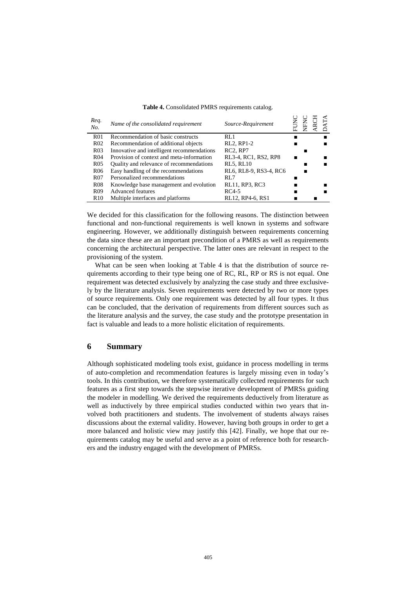| Req.<br>No.      | Name of the consolidated requirement       | Source-Requirement                |  | н |  |
|------------------|--------------------------------------------|-----------------------------------|--|---|--|
| R <sub>01</sub>  | Recommendation of basic constructs         | RL1                               |  |   |  |
| R <sub>02</sub>  | Recommendation of additional objects       | RL2, RP1-2                        |  |   |  |
| R <sub>0</sub> 3 | Innovative and intelligent recommendations | RC <sub>2</sub> , RP <sub>7</sub> |  |   |  |
| R <sub>04</sub>  | Provision of context and meta-information  | RL3-4, RC1, RS2, RP8              |  |   |  |
| R <sub>05</sub>  | Quality and relevance of recommendations   | <b>RL5, RL10</b>                  |  |   |  |
| R <sub>06</sub>  | Easy handling of the recommendations       | RL6, RL8-9, RS3-4, RC6            |  |   |  |
| R <sub>07</sub>  | Personalized recommendations               | RL <sub>7</sub>                   |  |   |  |
| <b>R08</b>       | Knowledge base management and evolution    | RL11, RP3, RC3                    |  |   |  |
| R <sub>09</sub>  | <b>Advanced features</b>                   | $RC4-5$                           |  |   |  |
| R <sub>10</sub>  | Multiple interfaces and platforms          | RL12, RP4-6, RS1                  |  |   |  |

#### **Table 4.** Consolidated PMRS requirements catalog.

We decided for this classification for the following reasons. The distinction between functional and non-functional requirements is well known in systems and software engineering. However, we additionally distinguish between requirements concerning the data since these are an important precondition of a PMRS as well as requirements concerning the architectural perspective. The latter ones are relevant in respect to the provisioning of the system.

What can be seen when looking at Table 4 is that the distribution of source requirements according to their type being one of RC, RL, RP or RS is not equal. One requirement was detected exclusively by analyzing the case study and three exclusively by the literature analysis. Seven requirements were detected by two or more types of source requirements. Only one requirement was detected by all four types. It thus can be concluded, that the derivation of requirements from different sources such as the literature analysis and the survey, the case study and the prototype presentation in fact is valuable and leads to a more holistic elicitation of requirements.

#### **6 Summary**

Although sophisticated modeling tools exist, guidance in process modelling in terms of auto-completion and recommendation features is largely missing even in today's tools. In this contribution, we therefore systematically collected requirements for such features as a first step towards the stepwise iterative development of PMRSs guiding the modeler in modelling. We derived the requirements deductively from literature as well as inductively by three empirical studies conducted within two years that involved both practitioners and students. The involvement of students always raises discussions about the external validity. However, having both groups in order to get a more balanced and holistic view may justify this [42]. Finally, we hope that our requirements catalog may be useful and serve as a point of reference both for researchers and the industry engaged with the development of PMRSs.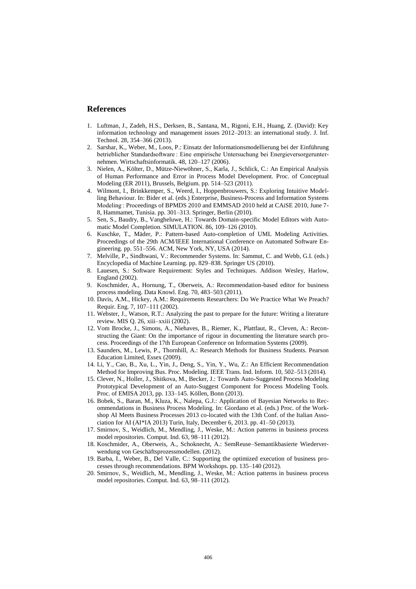#### **References**

- 1. Luftman, J., Zadeh, H.S., Derksen, B., Santana, M., Rigoni, E.H., Huang, Z. (David): Key information technology and management issues 2012–2013: an international study. J. Inf. Technol. 28, 354–366 (2013).
- 2. Sarshar, K., Weber, M., Loos, P.: Einsatz der Informationsmodellierung bei der Einführung betrieblicher Standardsoftware : Eine empirische Untersuchung bei Energieversorgerunternehmen. Wirtschaftsinformatik. 48, 120–127 (2006).
- 3. Nielen, A., Költer, D., Mütze-Niewöhner, S., Karla, J., Schlick, C.: An Empirical Analysis of Human Performance and Error in Process Model Development. Proc. of Conceptual Modeling (ER 2011), Brussels, Belgium. pp. 514–523 (2011).
- 4. Wilmont, I., Brinkkemper, S., Weerd, I., Hoppenbrouwers, S.: Exploring Intuitive Modelling Behaviour. In: Bider et al. (eds.) Enterprise, Business-Process and Information Systems Modeling : Proceedings of BPMDS 2010 and EMMSAD 2010 held at CAiSE 2010, June 7- 8, Hammamet, Tunisia. pp. 301–313. Springer, Berlin (2010).
- 5. Sen, S., Baudry, B., Vangheluwe, H.: Towards Domain-specific Model Editors with Automatic Model Completion. SIMULATION. 86, 109–126 (2010).
- 6. Kuschke, T., Mäder, P.: Pattern-based Auto-completion of UML Modeling Activities. Proceedings of the 29th ACM/IEEE International Conference on Automated Software Engineering. pp. 551–556. ACM, New York, NY, USA (2014).
- 7. Melville, P., Sindhwani, V.: Recommender Systems. In: Sammut, C. and Webb, G.I. (eds.) Encyclopedia of Machine Learning. pp. 829–838. Springer US (2010).
- Lauesen, S.: Software Requirement: Styles and Techniques. Addison Wesley, Harlow, England (2002).
- 9. Koschmider, A., Hornung, T., Oberweis, A.: Recommendation-based editor for business process modeling. Data Knowl. Eng. 70, 483–503 (2011).
- 10. Davis, A.M., Hickey, A.M.: Requirements Researchers: Do We Practice What We Preach? Requir. Eng. 7, 107–111 (2002).
- 11. Webster, J., Watson, R.T.: Analyzing the past to prepare for the future: Writing a literature review. MIS Q. 26, xiii–xxiii (2002).
- 12. Vom Brocke, J., Simons, A., Niehaves, B., Riemer, K., Plattfaut, R., Cleven, A.: Reconstructing the Giant: On the importance of rigour in documenting the literature search process. Proceedings of the 17th European Conference on Information Systems (2009).
- 13. Saunders, M., Lewis, P., Thornhill, A.: Research Methods for Business Students. Pearson Education Limited, Essex (2009).
- 14. Li, Y., Cao, B., Xu, L., Yin, J., Deng, S., Yin, Y., Wu, Z.: An Efficient Recommendation Method for Improving Bus. Proc. Modeling. IEEE Trans. Ind. Inform. 10, 502–513 (2014).
- 15. Clever, N., Holler, J., Shitkova, M., Becker, J.: Towards Auto-Suggested Process Modeling Prototypical Development of an Auto-Suggest Component for Process Modeling Tools. Proc. of EMISA 2013, pp. 133–145. Köllen, Bonn (2013).
- 16. Bobek, S., Baran, M., Kluza, K., Nalepa, G.J.: Application of Bayesian Networks to Recommendations in Business Process Modeling. In: Giordano et al. (eds.) Proc. of the Workshop AI Meets Business Processes 2013 co-located with the 13th Conf. of the Italian Association for AI (AI\*IA 2013) Turin, Italy, December 6, 2013. pp. 41–50 (2013).
- 17. Smirnov, S., Weidlich, M., Mendling, J., Weske, M.: Action patterns in business process model repositories. Comput. Ind. 63, 98–111 (2012).
- 18. Koschmider, A., Oberweis, A., Schoknecht, A.: SemReuse–Semantikbasierte Wiederverwendung von Geschäftsprozessmodellen. (2012).
- 19. Barba, I., Weber, B., Del Valle, C.: Supporting the optimized execution of business processes through recommendations. BPM Workshops. pp. 135–140 (2012).
- 20. Smirnov, S., Weidlich, M., Mendling, J., Weske, M.: Action patterns in business process model repositories. Comput. Ind. 63, 98–111 (2012).